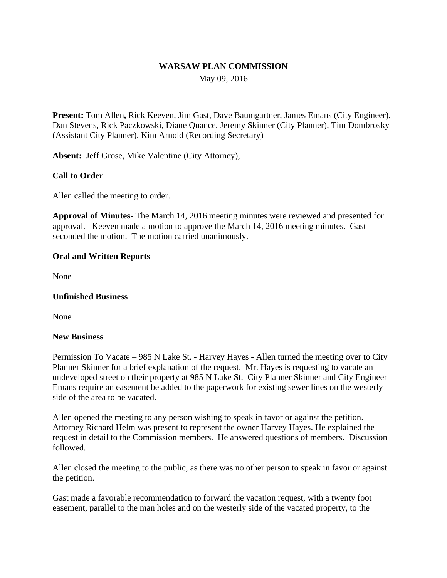## **WARSAW PLAN COMMISSION**

May 09, 2016

**Present:** Tom Allen**,** Rick Keeven, Jim Gast, Dave Baumgartner, James Emans (City Engineer), Dan Stevens, Rick Paczkowski, Diane Quance, Jeremy Skinner (City Planner), Tim Dombrosky (Assistant City Planner), Kim Arnold (Recording Secretary)

**Absent:** Jeff Grose, Mike Valentine (City Attorney),

## **Call to Order**

Allen called the meeting to order.

**Approval of Minutes-** The March 14, 2016 meeting minutes were reviewed and presented for approval. Keeven made a motion to approve the March 14, 2016 meeting minutes. Gast seconded the motion. The motion carried unanimously.

#### **Oral and Written Reports**

None

#### **Unfinished Business**

None

#### **New Business**

Permission To Vacate – 985 N Lake St. - Harvey Hayes - Allen turned the meeting over to City Planner Skinner for a brief explanation of the request. Mr. Hayes is requesting to vacate an undeveloped street on their property at 985 N Lake St. City Planner Skinner and City Engineer Emans require an easement be added to the paperwork for existing sewer lines on the westerly side of the area to be vacated.

Allen opened the meeting to any person wishing to speak in favor or against the petition. Attorney Richard Helm was present to represent the owner Harvey Hayes. He explained the request in detail to the Commission members. He answered questions of members. Discussion followed.

Allen closed the meeting to the public, as there was no other person to speak in favor or against the petition.

Gast made a favorable recommendation to forward the vacation request, with a twenty foot easement, parallel to the man holes and on the westerly side of the vacated property, to the